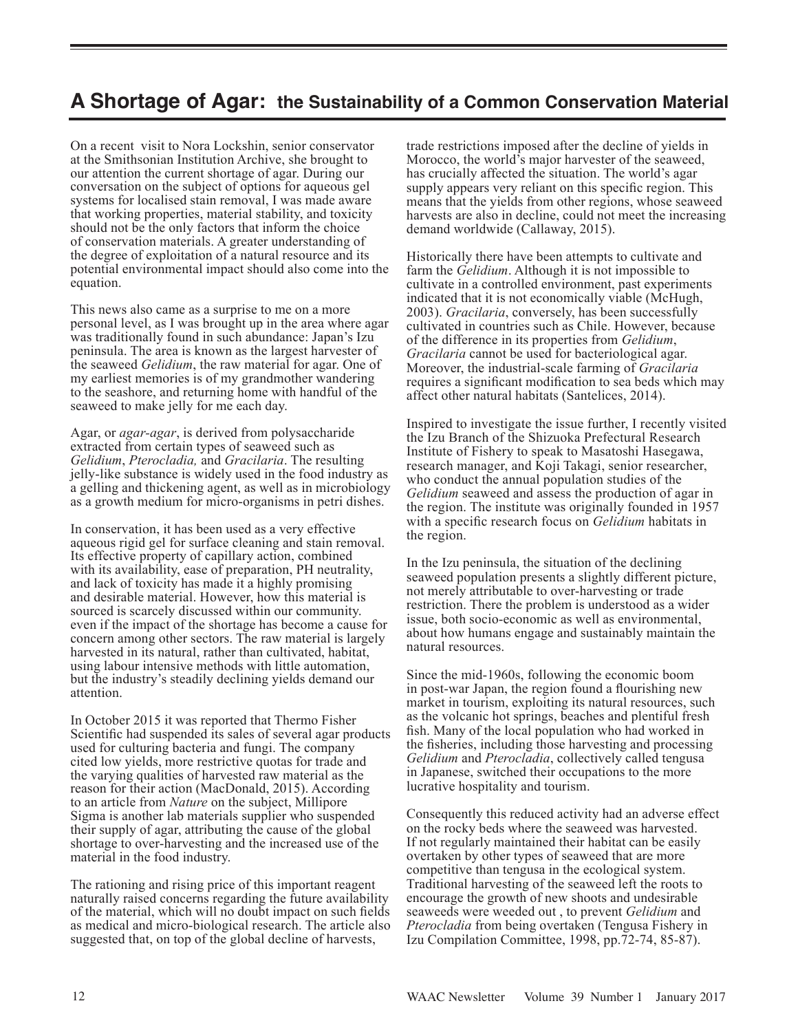## **A Shortage of Agar: the Sustainability of a Common Conservation Material**

On a recent visit to Nora Lockshin, senior conservator at the Smithsonian Institution Archive, she brought to our attention the current shortage of agar. During our conversation on the subject of options for aqueous gel systems for localised stain removal, I was made aware that working properties, material stability, and toxicity should not be the only factors that inform the choice of conservation materials. A greater understanding of the degree of exploitation of a natural resource and its potential environmental impact should also come into the equation.

This news also came as a surprise to me on a more personal level, as I was brought up in the area where agar was traditionally found in such abundance: Japan's Izu peninsula. The area is known as the largest harvester of the seaweed *Gelidium*, the raw material for agar. One of my earliest memories is of my grandmother wandering to the seashore, and returning home with handful of the seaweed to make jelly for me each day.

Agar, or *agar-agar*, is derived from polysaccharide extracted from certain types of seaweed such as *Gelidium*, *Pterocladia,* and *Gracilaria*. The resulting jelly-like substance is widely used in the food industry as a gelling and thickening agent, as well as in microbiology as a growth medium for micro-organisms in petri dishes.

In conservation, it has been used as a very effective aqueous rigid gel for surface cleaning and stain removal. Its effective property of capillary action, combined with its availability, ease of preparation, PH neutrality, and lack of toxicity has made it a highly promising and desirable material. However, how this material is sourced is scarcely discussed within our community. even if the impact of the shortage has become a cause for concern among other sectors. The raw material is largely harvested in its natural, rather than cultivated, habitat, using labour intensive methods with little automation, but the industry's steadily declining yields demand our attention.

In October 2015 it was reported that Thermo Fisher Scientific had suspended its sales of several agar products used for culturing bacteria and fungi. The company cited low yields, more restrictive quotas for trade and the varying qualities of harvested raw material as the reason for their action (MacDonald, 2015). According to an article from *Nature* on the subject, Millipore Sigma is another lab materials supplier who suspended their supply of agar, attributing the cause of the global shortage to over-harvesting and the increased use of the material in the food industry.

The rationing and rising price of this important reagent naturally raised concerns regarding the future availability of the material, which will no doubt impact on such fields as medical and micro-biological research. The article also suggested that, on top of the global decline of harvests,

trade restrictions imposed after the decline of yields in Morocco, the world's major harvester of the seaweed, has crucially affected the situation. The world's agar supply appears very reliant on this specific region. This means that the yields from other regions, whose seaweed harvests are also in decline, could not meet the increasing demand worldwide (Callaway, 2015).

Historically there have been attempts to cultivate and farm the *Gelidium*. Although it is not impossible to cultivate in a controlled environment, past experiments indicated that it is not economically viable (McHugh, 2003). *Gracilaria*, conversely, has been successfully cultivated in countries such as Chile. However, because of the difference in its properties from *Gelidium*, *Gracilaria* cannot be used for bacteriological agar. Moreover, the industrial-scale farming of *Gracilaria* requires a significant modification to sea beds which may affect other natural habitats (Santelices, 2014).

Inspired to investigate the issue further, I recently visited the Izu Branch of the Shizuoka Prefectural Research Institute of Fishery to speak to Masatoshi Hasegawa, research manager, and Koji Takagi, senior researcher, who conduct the annual population studies of the *Gelidium* seaweed and assess the production of agar in the region. The institute was originally founded in 1957 with a specific research focus on *Gelidium* habitats in the region.

In the Izu peninsula, the situation of the declining seaweed population presents a slightly different picture, not merely attributable to over-harvesting or trade restriction. There the problem is understood as a wider issue, both socio-economic as well as environmental, about how humans engage and sustainably maintain the natural resources.

Since the mid-1960s, following the economic boom in post-war Japan, the region found a flourishing new market in tourism, exploiting its natural resources, such as the volcanic hot springs, beaches and plentiful fresh fish. Many of the local population who had worked in the fisheries, including those harvesting and processing *Gelidium* and *Pterocladia*, collectively called tengusa in Japanese, switched their occupations to the more lucrative hospitality and tourism.

Consequently this reduced activity had an adverse effect on the rocky beds where the seaweed was harvested. If not regularly maintained their habitat can be easily overtaken by other types of seaweed that are more competitive than tengusa in the ecological system. Traditional harvesting of the seaweed left the roots to encourage the growth of new shoots and undesirable seaweeds were weeded out , to prevent *Gelidium* and *Pterocladia* from being overtaken (Tengusa Fishery in Izu Compilation Committee, 1998, pp.72-74, 85-87).